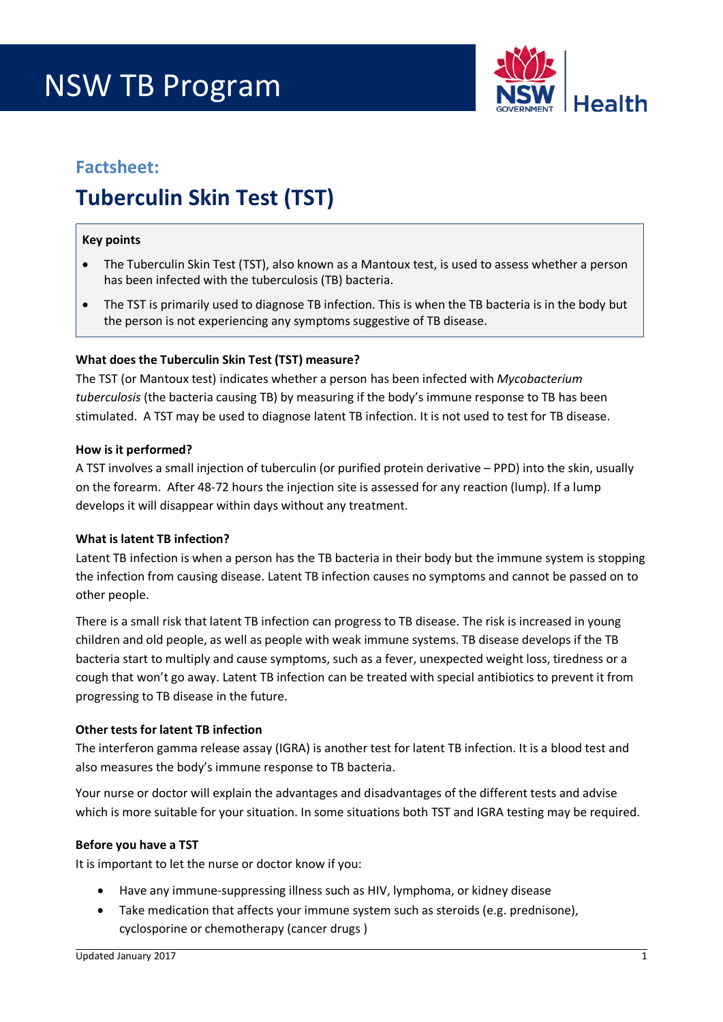# NSW TB Program



### **Factsheet:**

## **Tuberculin Skin Test (TST)**

#### **Key points**

- The Tuberculin Skin Test (TST), also known as a Mantoux test, is used to assess whether a person has been infected with the tuberculosis (TB) bacteria.
- The TST is primarily used to diagnose TB infection. This is when the TB bacteria is in the body but the person is not experiencing any symptoms suggestive of TB disease.

#### **What does the Tuberculin Skin Test (TST) measure?**

The TST (or Mantoux test) indicates whether a person has been infected with *Mycobacterium tuberculosis* (the bacteria causing TB) by measuring if the body's immune response to TB has been stimulated. A TST may be used to diagnose latent TB infection. It is not used to test for TB disease.

#### **How is it performed?**

A TST involves a small injection of tuberculin (or purified protein derivative – PPD) into the skin, usually on the forearm. After 48-72 hours the injection site is assessed for any reaction (lump). If a lump develops it will disappear within days without any treatment.

#### **What is latent TB infection?**

Latent TB infection is when a person has the TB bacteria in their body but the immune system is stopping the infection from causing disease. Latent TB infection causes no symptoms and cannot be passed on to other people.

There is a small risk that latent TB infection can progress to TB disease. The risk is increased in young children and old people, as well as people with weak immune systems. TB disease develops if the TB bacteria start to multiply and cause symptoms, such as a fever, unexpected weight loss, tiredness or a cough that won't go away. Latent TB infection can be treated with special antibiotics to prevent it from progressing to TB disease in the future.

#### **Other tests for latent TB infection**

The interferon gamma release assay (IGRA) is another test for latent TB infection. It is a blood test and also measures the body's immune response to TB bacteria.

Your nurse or doctor will explain the advantages and disadvantages of the different tests and advise which is more suitable for your situation. In some situations both TST and IGRA testing may be required.

#### **Before you have a TST**

It is important to let the nurse or doctor know if you:

- Have any immune-suppressing illness such as HIV, lymphoma, or kidney disease
- Take medication that affects your immune system such as steroids (e.g. prednisone), cyclosporine or chemotherapy (cancer drugs )